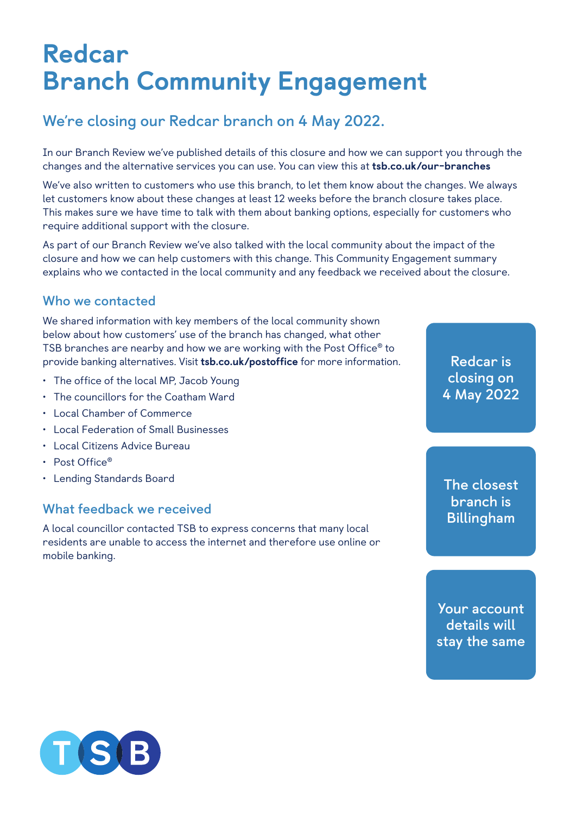# Redcar Branch Community Engagement

## **We're closing our Redcar branch on 4 May 2022.**

In our Branch Review we've published details of this closure and how we can support you through the changes and the alternative services you can use. You can view this at [tsb.co.uk/our-branches](http://tsb.co.uk/our-branches)

We've also written to customers who use this branch, to let them know about the changes. We always let customers know about these changes at least 12 weeks before the branch closure takes place. This makes sure we have time to talk with them about banking options, especially for customers who require additional support with the closure.

As part of our Branch Review we've also talked with the local community about the impact of the closure and how we can help customers with this change. This Community Engagement summary explains who we contacted in the local community and any feedback we received about the closure.

#### **Who we contacted**

We shared information with key members of the local community shown below about how customers' use of the branch has changed, what other TSB branches are nearby and how we are working with the Post Office® to provide banking alternatives. Visit [tsb.co.uk/postoffice](http://tsb.co.uk/postoffice) for more information.

- The office of the local MP, Jacob Young
- The councillors for the Coatham Ward
- Local Chamber of Commerce
- Local Federation of Small Businesses
- Local Citizens Advice Bureau
- Post Office®
- Lending Standards Board

#### **What feedback we received**

A local councillor contacted TSB to express concerns that many local residents are unable to access the internet and therefore use online or mobile banking.

**Redcar is closing on 4 May 2022**

**The closest branch is Billingham**

**Your account details will stay the same**